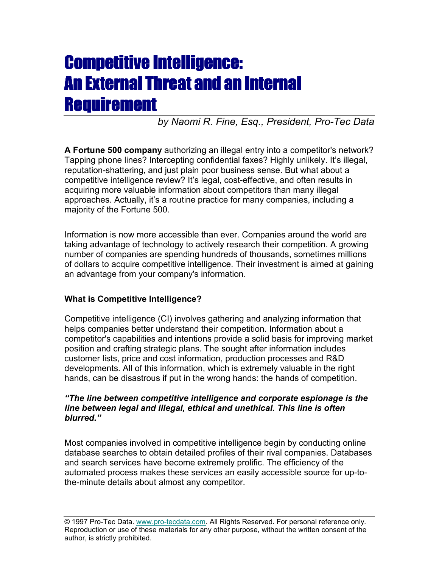*by Naomi R. Fine, Esq., President, Pro-Tec Data*

**A Fortune 500 company** authorizing an illegal entry into a competitor's network? Tapping phone lines? Intercepting confidential faxes? Highly unlikely. It's illegal, reputation-shattering, and just plain poor business sense. But what about a competitive intelligence review? It's legal, cost-effective, and often results in acquiring more valuable information about competitors than many illegal approaches. Actually, it's a routine practice for many companies, including a majority of the Fortune 500.

Information is now more accessible than ever. Companies around the world are taking advantage of technology to actively research their competition. A growing number of companies are spending hundreds of thousands, sometimes millions of dollars to acquire competitive intelligence. Their investment is aimed at gaining an advantage from your company's information.

### **What is Competitive Intelligence?**

Competitive intelligence (CI) involves gathering and analyzing information that helps companies better understand their competition. Information about a competitor's capabilities and intentions provide a solid basis for improving market position and crafting strategic plans. The sought after information includes customer lists, price and cost information, production processes and R&D developments. All of this information, which is extremely valuable in the right hands, can be disastrous if put in the wrong hands: the hands of competition.

#### *"The line between competitive intelligence and corporate espionage is the line between legal and illegal, ethical and unethical. This line is often blurred."*

Most companies involved in competitive intelligence begin by conducting online database searches to obtain detailed profiles of their rival companies. Databases and search services have become extremely prolific. The efficiency of the automated process makes these services an easily accessible source for up-tothe-minute details about almost any competitor.

<sup>© 1997</sup> Pro-Tec Data. www.pro-tecdata.com. All Rights Reserved. For personal reference only. Reproduction or use of these materials for any other purpose, without the written consent of the author, is strictly prohibited.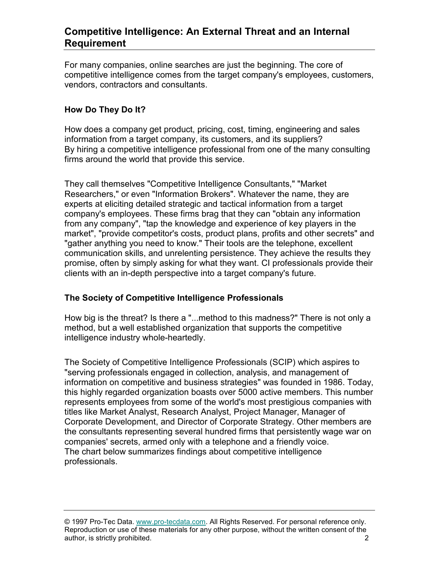For many companies, online searches are just the beginning. The core of competitive intelligence comes from the target company's employees, customers, vendors, contractors and consultants.

#### **How Do They Do It?**

How does a company get product, pricing, cost, timing, engineering and sales information from a target company, its customers, and its suppliers? By hiring a competitive intelligence professional from one of the many consulting firms around the world that provide this service.

They call themselves "Competitive Intelligence Consultants," "Market Researchers," or even "Information Brokers". Whatever the name, they are experts at eliciting detailed strategic and tactical information from a target company's employees. These firms brag that they can "obtain any information from any company", "tap the knowledge and experience of key players in the market", "provide competitor's costs, product plans, profits and other secrets" and "gather anything you need to know." Their tools are the telephone, excellent communication skills, and unrelenting persistence. They achieve the results they promise, often by simply asking for what they want. CI professionals provide their clients with an in-depth perspective into a target company's future.

#### **The Society of Competitive Intelligence Professionals**

How big is the threat? Is there a "...method to this madness?" There is not only a method, but a well established organization that supports the competitive intelligence industry whole-heartedly.

The Society of Competitive Intelligence Professionals (SCIP) which aspires to "serving professionals engaged in collection, analysis, and management of information on competitive and business strategies" was founded in 1986. Today, this highly regarded organization boasts over 5000 active members. This number represents employees from some of the world's most prestigious companies with titles like Market Analyst, Research Analyst, Project Manager, Manager of Corporate Development, and Director of Corporate Strategy. Other members are the consultants representing several hundred firms that persistently wage war on companies' secrets, armed only with a telephone and a friendly voice. The chart below summarizes findings about competitive intelligence professionals.

<sup>© 1997</sup> Pro-Tec Data. www.pro-tecdata.com. All Rights Reserved. For personal reference only. Reproduction or use of these materials for any other purpose, without the written consent of the author, is strictly prohibited. 2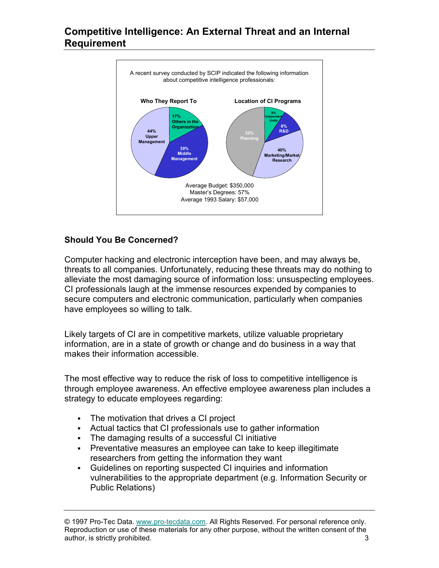

### **Should You Be Concerned?**

Computer hacking and electronic interception have been, and may always be, threats to all companies. Unfortunately, reducing these threats may do nothing to alleviate the most damaging source of information loss: unsuspecting employees. CI professionals laugh at the immense resources expended by companies to secure computers and electronic communication, particularly when companies have employees so willing to talk.

Likely targets of CI are in competitive markets, utilize valuable proprietary information, are in a state of growth or change and do business in a way that makes their information accessible.

The most effective way to reduce the risk of loss to competitive intelligence is through employee awareness. An effective employee awareness plan includes a strategy to educate employees regarding:

- The motivation that drives a CI project
- Actual tactics that CI professionals use to gather information
- The damaging results of a successful CI initiative
- Preventative measures an employee can take to keep illegitimate researchers from getting the information they want
- Guidelines on reporting suspected CI inquiries and information vulnerabilities to the appropriate department (e.g. Information Security or Public Relations)

© 1997 Pro-Tec Data. www.pro-tecdata.com. All Rights Reserved. For personal reference only. Reproduction or use of these materials for any other purpose, without the written consent of the author, is strictly prohibited. 3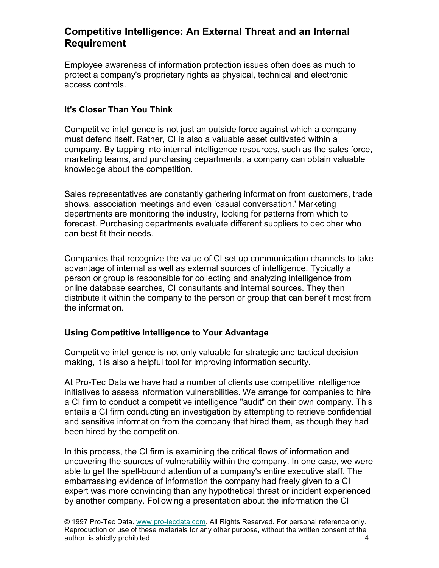Employee awareness of information protection issues often does as much to protect a company's proprietary rights as physical, technical and electronic access controls.

### **It's Closer Than You Think**

Competitive intelligence is not just an outside force against which a company must defend itself. Rather, CI is also a valuable asset cultivated within a company. By tapping into internal intelligence resources, such as the sales force, marketing teams, and purchasing departments, a company can obtain valuable knowledge about the competition.

Sales representatives are constantly gathering information from customers, trade shows, association meetings and even 'casual conversation.' Marketing departments are monitoring the industry, looking for patterns from which to forecast. Purchasing departments evaluate different suppliers to decipher who can best fit their needs.

Companies that recognize the value of CI set up communication channels to take advantage of internal as well as external sources of intelligence. Typically a person or group is responsible for collecting and analyzing intelligence from online database searches, CI consultants and internal sources. They then distribute it within the company to the person or group that can benefit most from the information.

#### **Using Competitive Intelligence to Your Advantage**

Competitive intelligence is not only valuable for strategic and tactical decision making, it is also a helpful tool for improving information security.

At Pro-Tec Data we have had a number of clients use competitive intelligence initiatives to assess information vulnerabilities. We arrange for companies to hire a CI firm to conduct a competitive intelligence "audit" on their own company. This entails a CI firm conducting an investigation by attempting to retrieve confidential and sensitive information from the company that hired them, as though they had been hired by the competition.

In this process, the CI firm is examining the critical flows of information and uncovering the sources of vulnerability within the company. In one case, we were able to get the spell-bound attention of a company's entire executive staff. The embarrassing evidence of information the company had freely given to a CI expert was more convincing than any hypothetical threat or incident experienced by another company. Following a presentation about the information the CI

© 1997 Pro-Tec Data. www.pro-tecdata.com. All Rights Reserved. For personal reference only. Reproduction or use of these materials for any other purpose, without the written consent of the author, is strictly prohibited. 4